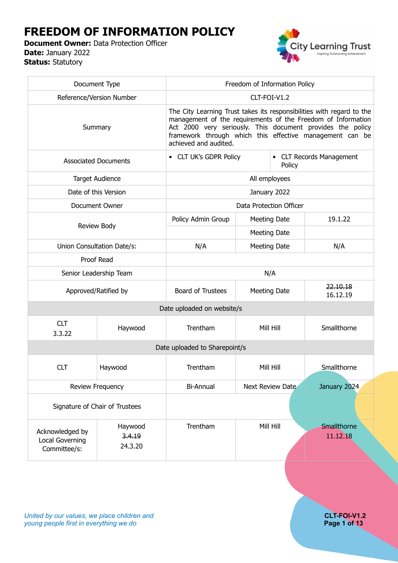# **FREEDOM OF INFORMATION POLICY**

**Document Owner:** Data Protection Officer **Date:** January 2022 **Status:** Statutory



| Document Type                                      |                              | Freedom of Information Policy                                                                                                                                                                                                                                                            |           |                         |                         |
|----------------------------------------------------|------------------------------|------------------------------------------------------------------------------------------------------------------------------------------------------------------------------------------------------------------------------------------------------------------------------------------|-----------|-------------------------|-------------------------|
| Reference/Version Number                           |                              | CLT-FOI-V1.2                                                                                                                                                                                                                                                                             |           |                         |                         |
| Summary                                            |                              | The City Learning Trust takes its responsibilities with regard to the<br>management of the requirements of the Freedom of Information<br>Act 2000 very seriously. This document provides the policy<br>framework through which this effective management can be<br>achieved and audited. |           |                         |                         |
| <b>Associated Documents</b>                        |                              | • CLT UK's GDPR Policy<br>• CLT Records Management<br>Policy                                                                                                                                                                                                                             |           |                         |                         |
|                                                    | <b>Target Audience</b>       | All employees                                                                                                                                                                                                                                                                            |           |                         |                         |
|                                                    | Date of this Version         |                                                                                                                                                                                                                                                                                          |           | January 2022            |                         |
|                                                    | Document Owner               |                                                                                                                                                                                                                                                                                          |           | Data Protection Officer |                         |
|                                                    |                              | Policy Admin Group                                                                                                                                                                                                                                                                       |           | <b>Meeting Date</b>     | 19.1.22                 |
| Review Body                                        |                              |                                                                                                                                                                                                                                                                                          |           | <b>Meeting Date</b>     |                         |
| Union Consultation Date/s:                         |                              | N/A                                                                                                                                                                                                                                                                                      |           | Meeting Date            | N/A                     |
| Proof Read                                         |                              |                                                                                                                                                                                                                                                                                          |           |                         |                         |
| Senior Leadership Team                             |                              |                                                                                                                                                                                                                                                                                          |           | N/A                     |                         |
| Approved/Ratified by                               |                              | <b>Board of Trustees</b>                                                                                                                                                                                                                                                                 |           | <b>Meeting Date</b>     | 22.10.18<br>16.12.19    |
|                                                    |                              | Date uploaded on website/s                                                                                                                                                                                                                                                               |           |                         |                         |
| <b>CLT</b><br>3.3.22                               | Haywood                      | Trentham                                                                                                                                                                                                                                                                                 | Mill Hill |                         | Smallthorne             |
|                                                    |                              | Date uploaded to Sharepoint/s                                                                                                                                                                                                                                                            |           |                         |                         |
| <b>CLT</b>                                         | Haywood                      | Trentham                                                                                                                                                                                                                                                                                 |           | Mill Hill               | Smallthorne             |
| Review Frequency                                   |                              | Bi-Annual                                                                                                                                                                                                                                                                                |           | Next Review Date        | January 2024            |
| Signature of Chair of Trustees                     |                              |                                                                                                                                                                                                                                                                                          |           |                         |                         |
| Acknowledged by<br>Local Governing<br>Committee/s: | Haywood<br>3.4.19<br>24.3.20 | Trentham                                                                                                                                                                                                                                                                                 | Mill Hill |                         | Smallthorne<br>11.12.18 |

*United by our values, we place children and* **CLT-FOI-V1.2**<br> **CLT-FOI-V1.2**<br> **Page 1 of 13** *young people first in everything we do*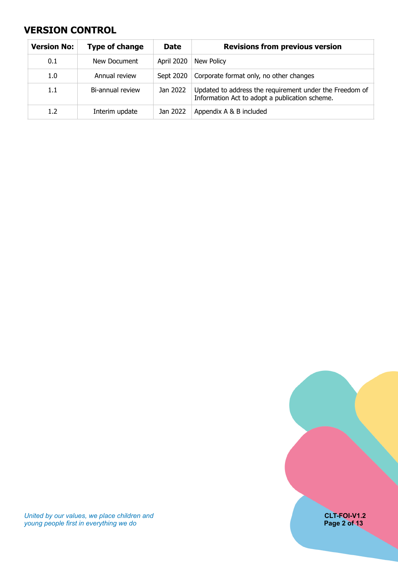### <span id="page-1-0"></span>**VERSION CONTROL**

| <b>Version No:</b> | Type of change   | <b>Date</b> | <b>Revisions from previous version</b>                                                                    |
|--------------------|------------------|-------------|-----------------------------------------------------------------------------------------------------------|
| 0.1                | New Document     | April 2020  | New Policy                                                                                                |
| 1.0                | Annual review    | Sept 2020   | Corporate format only, no other changes                                                                   |
| 1.1                | Bi-annual review | Jan 2022    | Updated to address the requirement under the Freedom of<br>Information Act to adopt a publication scheme. |
| 1.2 <sub>2</sub>   | Interim update   | Jan 2022    | Appendix A & B included                                                                                   |



*United by our values, we place children and* **CLT-FOI-V1.2** *young people first in everything we do* **Page 2 of 13**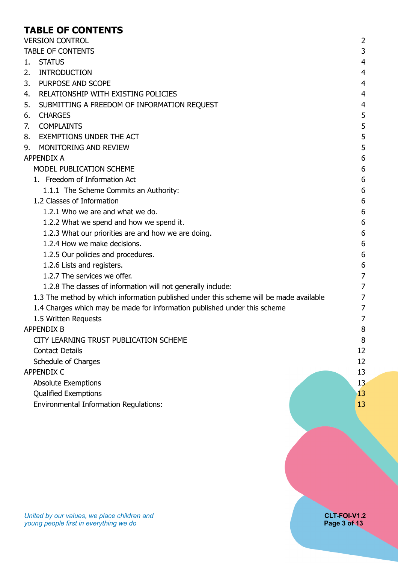### <span id="page-2-0"></span>**TABLE OF CONTENTS**

| <b>VERSION CONTROL</b>                                                                 | $\overline{2}$ |
|----------------------------------------------------------------------------------------|----------------|
| <b>TABLE OF CONTENTS</b>                                                               | 3              |
| <b>STATUS</b><br>1.                                                                    | 4              |
| <b>INTRODUCTION</b><br>2.                                                              | $\overline{4}$ |
| 3.<br>PURPOSE AND SCOPE                                                                | $\overline{4}$ |
| RELATIONSHIP WITH EXISTING POLICIES<br>4.                                              | $\overline{4}$ |
| 5.<br>SUBMITTING A FREEDOM OF INFORMATION REQUEST                                      | $\overline{4}$ |
| 6.<br><b>CHARGES</b>                                                                   | 5              |
| <b>COMPLAINTS</b><br>7.                                                                | 5              |
| <b>EXEMPTIONS UNDER THE ACT</b><br>8.                                                  | 5              |
| MONITORING AND REVIEW<br>9.                                                            | 5              |
| <b>APPENDIX A</b>                                                                      | 6              |
| MODEL PUBLICATION SCHEME                                                               | 6              |
| 1. Freedom of Information Act                                                          | 6              |
| 1.1.1 The Scheme Commits an Authority:                                                 | 6              |
| 1.2 Classes of Information                                                             | 6              |
| 1.2.1 Who we are and what we do.                                                       | 6              |
| 1.2.2 What we spend and how we spend it.                                               | 6              |
| 1.2.3 What our priorities are and how we are doing.                                    | 6              |
| 1.2.4 How we make decisions.                                                           | 6              |
| 1.2.5 Our policies and procedures.                                                     | 6              |
| 1.2.6 Lists and registers.                                                             | 6              |
| 1.2.7 The services we offer.                                                           | $\overline{7}$ |
| 1.2.8 The classes of information will not generally include:                           | 7              |
| 1.3 The method by which information published under this scheme will be made available | 7              |
| 1.4 Charges which may be made for information published under this scheme              | $\overline{7}$ |
| 1.5 Written Requests                                                                   | $\overline{7}$ |
| <b>APPENDIX B</b>                                                                      | 8              |
| CITY LEARNING TRUST PUBLICATION SCHEME                                                 | 8              |
| <b>Contact Details</b>                                                                 | 12             |
| Schedule of Charges                                                                    | 12             |
| <b>APPENDIX C</b>                                                                      | 13             |
| <b>Absolute Exemptions</b>                                                             | 13             |
| <b>Qualified Exemptions</b>                                                            | 13             |
| <b>Environmental Information Regulations:</b>                                          | 13             |
|                                                                                        |                |
|                                                                                        |                |
|                                                                                        |                |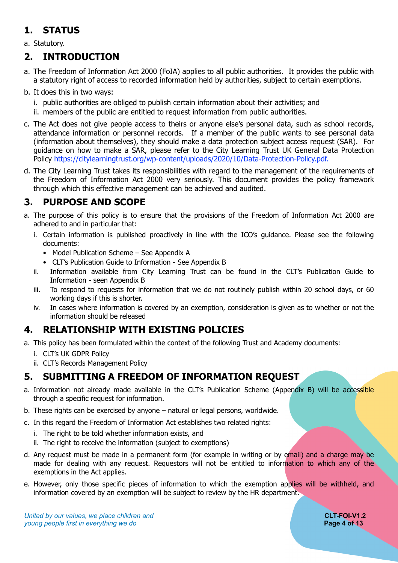# <span id="page-3-0"></span>**1. STATUS**

a. Statutory.

### <span id="page-3-1"></span>**2. INTRODUCTION**

- a. The Freedom of Information Act 2000 (FoIA) applies to all public authorities. It provides the public with a statutory right of access to recorded information held by authorities, subject to certain exemptions.
- b. It does this in two ways:
	- i. public authorities are obliged to publish certain information about their activities; and
	- ii. members of the public are entitled to request information from public authorities.
- c. The Act does not give people access to theirs or anyone else's personal data, such as school records, attendance information or personnel records. If a member of the public wants to see personal data (information about themselves), they should make a data protection subject access request (SAR). For guidance on how to make a SAR, please refer to the City Learning Trust UK General Data Protection Policy https://citylearningtrust.org/wp-content/uploads/2020/10/Data-Protection-Policy.pdf.
- d. The City Learning Trust takes its responsibilities with regard to the management of the requirements of the Freedom of Information Act 2000 very seriously. This document provides the policy framework through which this effective management can be achieved and audited.

## <span id="page-3-2"></span>**3. PURPOSE AND SCOPE**

- a. The purpose of this policy is to ensure that the provisions of the Freedom of Information Act 2000 are adhered to and in particular that:
	- i. Certain information is published proactively in line with the ICO's guidance. Please see the following documents:
		- Model Publication Scheme See Appendix A
		- CLT's Publication Guide to Information See Appendix B
	- ii. Information available from City Learning Trust can be found in the CLT's Publication Guide to Information - seen Appendix B
	- iii. To respond to requests for information that we do not routinely publish within 20 school days, or 60 working days if this is shorter.
	- iv. In cases where information is covered by an exemption, consideration is given as to whether or not the information should be released

## <span id="page-3-3"></span>**4. RELATIONSHIP WITH EXISTING POLICIES**

- a. This policy has been formulated within the context of the following Trust and Academy documents:
	- i. CLT's UK GDPR Policy
	- ii. CLT's Records Management Policy

### <span id="page-3-4"></span>**5. SUBMITTING A FREEDOM OF INFORMATION REQUEST**

- a. Information not already made available in the CLT's Publication Scheme (Appendix B) will be accessible through a specific request for information.
- b. These rights can be exercised by anyone natural or legal persons, worldwide.
- c. In this regard the Freedom of Information Act establishes two related rights:
	- i. The right to be told whether information exists, and
	- ii. The right to receive the information (subject to exemptions)
- d. Any request must be made in a permanent form (for example in writing or by email) and a charge may be made for dealing with any request. Requestors will not be entitled to information to which any of the exemptions in the Act applies.
- e. However, only those specific pieces of information to which the exemption applies will be withheld, and information covered by an exemption will be subject to review by the HR department.

*United by our values, we place children and* **CLT-FOI-V1.2**<br> **Example 5** young people first in everything we do **CLT-FOI-V1.2** *young people first in everything we do*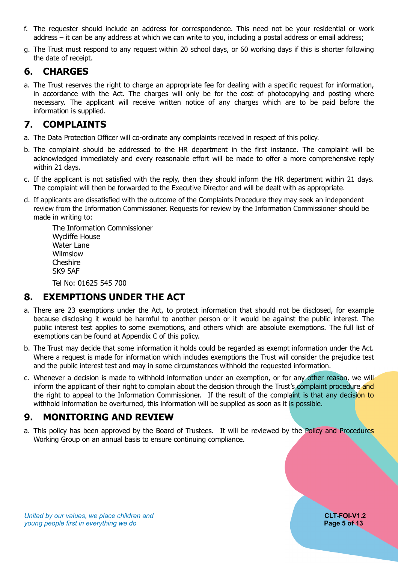- f. The requester should include an address for correspondence. This need not be your residential or work address – it can be any address at which we can write to you, including a postal address or email address;
- g. The Trust must respond to any request within 20 school days, or 60 working days if this is shorter following the date of receipt.

### <span id="page-4-0"></span>**6. CHARGES**

a. The Trust reserves the right to charge an appropriate fee for dealing with a specific request for information, in accordance with the Act. The charges will only be for the cost of photocopying and posting where necessary. The applicant will receive written notice of any charges which are to be paid before the information is supplied.

### <span id="page-4-1"></span>**7. COMPLAINTS**

- a. The Data Protection Officer will co-ordinate any complaints received in respect of this policy.
- b. The complaint should be addressed to the HR department in the first instance. The complaint will be acknowledged immediately and every reasonable effort will be made to offer a more comprehensive reply within 21 days.
- c. If the applicant is not satisfied with the reply, then they should inform the HR department within 21 days. The complaint will then be forwarded to the Executive Director and will be dealt with as appropriate.
- d. If applicants are dissatisfied with the outcome of the Complaints Procedure they may seek an independent review from the Information Commissioner. Requests for review by the Information Commissioner should be made in writing to:

The Information Commissioner Wycliffe House Water Lane Wilmslow **Cheshire** SK9 5AF

<span id="page-4-2"></span>Tel No: 01625 545 700

## **8. EXEMPTIONS UNDER THE ACT**

- a. There are 23 exemptions under the Act, to protect information that should not be disclosed, for example because disclosing it would be harmful to another person or it would be against the public interest. The public interest test applies to some exemptions, and others which are absolute exemptions. The full list of exemptions can be found at Appendix C of this policy.
- b. The Trust may decide that some information it holds could be regarded as exempt information under the Act. Where a request is made for information which includes exemptions the Trust will consider the prejudice test and the public interest test and may in some circumstances withhold the requested information.
- c. Whenever a decision is made to withhold information under an exemption, or for any other reason, we will inform the applicant of their right to complain about the decision through the Trust's complaint procedure and the right to appeal to the Information Commissioner. If the result of the complaint is that any decision to withhold information be overturned, this information will be supplied as soon as it is possible.

### <span id="page-4-3"></span>**9. MONITORING AND REVIEW**

a. This policy has been approved by the Board of Trustees. It will be reviewed by the Policy and Procedures Working Group on an annual basis to ensure continuing compliance.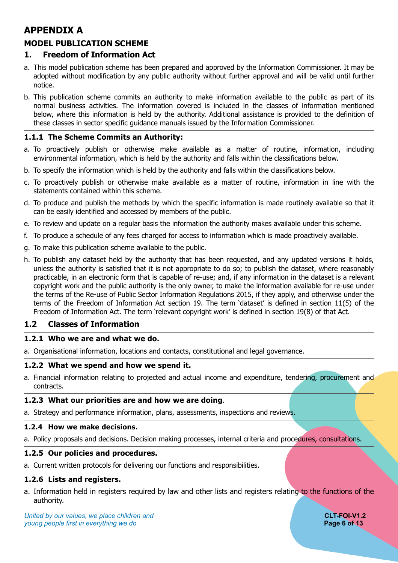## <span id="page-5-0"></span>**APPENDIX A**

### <span id="page-5-1"></span>**MODEL PUBLICATION SCHEME**

### <span id="page-5-2"></span>**1. Freedom of Information Act**

- a. This model publication scheme has been prepared and approved by the Information Commissioner. It may be adopted without modification by any public authority without further approval and will be valid until further notice.
- b. This publication scheme commits an authority to make information available to the public as part of its normal business activities. The information covered is included in the classes of information mentioned below, where this information is held by the authority. Additional assistance is provided to the definition of these classes in sector specific guidance manuals issued by the Information Commissioner.

#### <span id="page-5-3"></span>**1.1.1 The Scheme Commits an Authority:**

- a. To proactively publish or otherwise make available as a matter of routine, information, including environmental information, which is held by the authority and falls within the classifications below.
- b. To specify the information which is held by the authority and falls within the classifications below.
- c. To proactively publish or otherwise make available as a matter of routine, information in line with the statements contained within this scheme.
- d. To produce and publish the methods by which the specific information is made routinely available so that it can be easily identified and accessed by members of the public.
- e. To review and update on a regular basis the information the authority makes available under this scheme.
- f. To produce a schedule of any fees charged for access to information which is made proactively available.
- g. To make this publication scheme available to the public.
- h. To publish any dataset held by the authority that has been requested, and any updated versions it holds, unless the authority is satisfied that it is not appropriate to do so; to publish the dataset, where reasonably practicable, in an electronic form that is capable of re-use; and, if any information in the dataset is a relevant copyright work and the public authority is the only owner, to make the information available for re-use under the terms of the Re-use of Public Sector Information Regulations 2015, if they apply, and otherwise under the terms of the Freedom of Information Act section 19. The term 'dataset' is defined in section 11(5) of the Freedom of Information Act. The term 'relevant copyright work' is defined in section 19(8) of that Act.

#### <span id="page-5-4"></span>**1.2 Classes of Information**

#### <span id="page-5-5"></span>**1.2.1 Who we are and what we do.**

a. Organisational information, locations and contacts, constitutional and legal governance.

#### <span id="page-5-6"></span>**1.2.2 What we spend and how we spend it.**

a. Financial information relating to projected and actual income and expenditure, tendering, procurement and contracts.

#### <span id="page-5-7"></span>**1.2.3 What our priorities are and how we are doing**.

a. Strategy and performance information, plans, assessments, inspections and reviews.

#### <span id="page-5-8"></span>**1.2.4 How we make decisions.**

a. Policy proposals and decisions. Decision making processes, internal criteria and procedures, consultations.

#### <span id="page-5-9"></span>**1.2.5 Our policies and procedures.**

a. Current written protocols for delivering our functions and responsibilities.

#### <span id="page-5-10"></span>**1.2.6 Lists and registers.**

a. Information held in registers required by law and other lists and registers relating to the functions of the authority.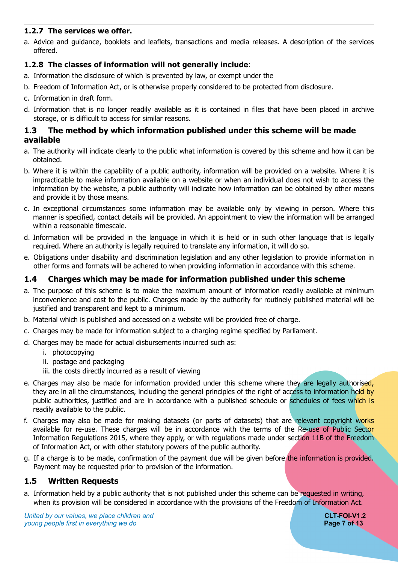#### <span id="page-6-0"></span>**1.2.7 The services we offer.**

a. Advice and guidance, booklets and leaflets, transactions and media releases. A description of the services offered.

#### <span id="page-6-1"></span>**1.2.8 The classes of information will not generally include**:

- a. Information the disclosure of which is prevented by law, or exempt under the
- b. Freedom of Information Act, or is otherwise properly considered to be protected from disclosure.
- c. Information in draft form.
- d. Information that is no longer readily available as it is contained in files that have been placed in archive storage, or is difficult to access for similar reasons.

#### <span id="page-6-2"></span>**1.3 The method by which information published under this scheme will be made available**

- a. The authority will indicate clearly to the public what information is covered by this scheme and how it can be obtained.
- b. Where it is within the capability of a public authority, information will be provided on a website. Where it is impracticable to make information available on a website or when an individual does not wish to access the information by the website, a public authority will indicate how information can be obtained by other means and provide it by those means.
- c. In exceptional circumstances some information may be available only by viewing in person. Where this manner is specified, contact details will be provided. An appointment to view the information will be arranged within a reasonable timescale.
- d. Information will be provided in the language in which it is held or in such other language that is legally required. Where an authority is legally required to translate any information, it will do so.
- e. Obligations under disability and discrimination legislation and any other legislation to provide information in other forms and formats will be adhered to when providing information in accordance with this scheme.

### <span id="page-6-3"></span>**1.4 Charges which may be made for information published under this scheme**

- a. The purpose of this scheme is to make the maximum amount of information readily available at minimum inconvenience and cost to the public. Charges made by the authority for routinely published material will be justified and transparent and kept to a minimum.
- b. Material which is published and accessed on a website will be provided free of charge.
- c. Charges may be made for information subject to a charging regime specified by Parliament.
- d. Charges may be made for actual disbursements incurred such as:
	- i. photocopying
	- ii. postage and packaging
	- iii. the costs directly incurred as a result of viewing
- e. Charges may also be made for information provided under this scheme where they are legally authorised, they are in all the circumstances, including the general principles of the right of access to information held by public authorities, justified and are in accordance with a published schedule or schedules of fees which is readily available to the public.
- f. Charges may also be made for making datasets (or parts of datasets) that are relevant copyright works available for re-use. These charges will be in accordance with the terms of the Re-use of Public Sector Information Regulations 2015, where they apply, or with regulations made under section 11B of the Freedom of Information Act, or with other statutory powers of the public authority.
- g. If a charge is to be made, confirmation of the payment due will be given before the information is provided. Payment may be requested prior to provision of the information.

#### <span id="page-6-4"></span>**1.5 Written Requests**

a. Information held by a public authority that is not published under this scheme can be requested in writing, when its provision will be considered in accordance with the provisions of the Freedom of Information Act.

**United by our values, we place children and <b>CLT-FOI-V1.2 CLT-FOI-V1.2** *young people first in everything we do* **Page 7 of 13**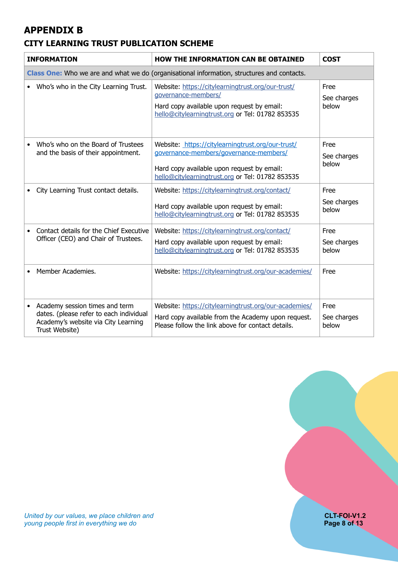## <span id="page-7-0"></span>**APPENDIX B**

### <span id="page-7-1"></span>**CITY LEARNING TRUST PUBLICATION SCHEME**

| <b>INFORMATION</b> |                                                                                                                                    | <b>HOW THE INFORMATION CAN BE OBTAINED</b>                                                                                                                                                    | <b>COST</b>                  |  |  |
|--------------------|------------------------------------------------------------------------------------------------------------------------------------|-----------------------------------------------------------------------------------------------------------------------------------------------------------------------------------------------|------------------------------|--|--|
|                    | Class One: Who we are and what we do (organisational information, structures and contacts.                                         |                                                                                                                                                                                               |                              |  |  |
|                    | Who's who in the City Learning Trust.                                                                                              | Website: https://citylearningtrust.org/our-trust/<br>governance-members/<br>Hard copy available upon request by email:<br>hello@citylearningtrust.org or Tel: 01782 853535                    | Free<br>See charges<br>below |  |  |
|                    | Who's who on the Board of Trustees<br>and the basis of their appointment.                                                          | Website: https://citylearningtrust.org/our-trust/<br>governance-members/governance-members/<br>Hard copy available upon request by email:<br>hello@citylearningtrust.org or Tel: 01782 853535 | Free<br>See charges<br>below |  |  |
|                    | City Learning Trust contact details.                                                                                               | Website: https://citylearningtrust.org/contact/<br>Hard copy available upon request by email:<br>hello@citylearningtrust.org or Tel: 01782 853535                                             | Free<br>See charges<br>below |  |  |
|                    | Contact details for the Chief Executive<br>Officer (CEO) and Chair of Trustees.                                                    | Website: https://citylearningtrust.org/contact/<br>Hard copy available upon request by email:<br>hello@citylearningtrust.org or Tel: 01782 853535                                             | Free<br>See charges<br>below |  |  |
|                    | Member Academies.                                                                                                                  | Website: https://citylearningtrust.org/our-academies/                                                                                                                                         | Free                         |  |  |
|                    | Academy session times and term<br>dates. (please refer to each individual<br>Academy's website via City Learning<br>Trust Website) | Website: https://citylearningtrust.org/our-academies/<br>Hard copy available from the Academy upon request.<br>Please follow the link above for contact details.                              | Free<br>See charges<br>below |  |  |

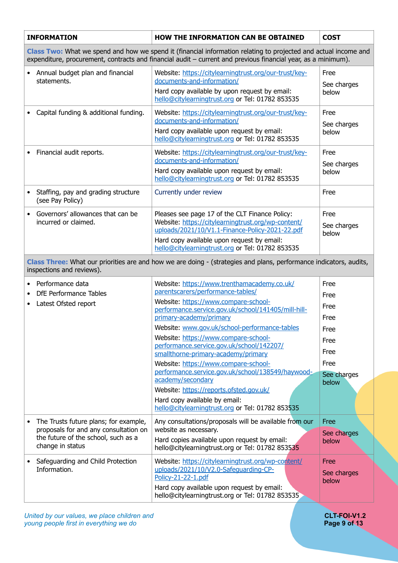|                                                                                                                                                                                                                                  | <b>INFORMATION</b>                                                                                          | <b>HOW THE INFORMATION CAN BE OBTAINED</b>                                                                                                                                                                                                                                                                                                                                                                                                                                                                                                                                                                                                                                                          | <b>COST</b>                                                                                  |  |  |
|----------------------------------------------------------------------------------------------------------------------------------------------------------------------------------------------------------------------------------|-------------------------------------------------------------------------------------------------------------|-----------------------------------------------------------------------------------------------------------------------------------------------------------------------------------------------------------------------------------------------------------------------------------------------------------------------------------------------------------------------------------------------------------------------------------------------------------------------------------------------------------------------------------------------------------------------------------------------------------------------------------------------------------------------------------------------------|----------------------------------------------------------------------------------------------|--|--|
| Class Two: What we spend and how we spend it (financial information relating to projected and actual income and<br>expenditure, procurement, contracts and financial audit - current and previous financial year, as a minimum). |                                                                                                             |                                                                                                                                                                                                                                                                                                                                                                                                                                                                                                                                                                                                                                                                                                     |                                                                                              |  |  |
|                                                                                                                                                                                                                                  | Annual budget plan and financial<br>statements.                                                             | Website: https://citylearningtrust.org/our-trust/key-<br>documents-and-information/<br>Hard copy available by upon request by email:<br>hello@citylearningtrust.org or Tel: 01782 853535                                                                                                                                                                                                                                                                                                                                                                                                                                                                                                            |                                                                                              |  |  |
|                                                                                                                                                                                                                                  | Capital funding & additional funding.                                                                       | Website: https://citylearningtrust.org/our-trust/key-<br>documents-and-information/<br>Hard copy available upon request by email:<br>hello@citylearningtrust.org or Tel: 01782 853535                                                                                                                                                                                                                                                                                                                                                                                                                                                                                                               | Free<br>See charges<br>below                                                                 |  |  |
|                                                                                                                                                                                                                                  | Financial audit reports.                                                                                    | Website: https://citylearningtrust.org/our-trust/key-<br>documents-and-information/<br>Hard copy available upon request by email:<br>hello@citylearningtrust.org or Tel: 01782 853535                                                                                                                                                                                                                                                                                                                                                                                                                                                                                                               | Free<br>See charges<br>below                                                                 |  |  |
|                                                                                                                                                                                                                                  | Staffing, pay and grading structure<br>(see Pay Policy)                                                     | Currently under review                                                                                                                                                                                                                                                                                                                                                                                                                                                                                                                                                                                                                                                                              | Free                                                                                         |  |  |
|                                                                                                                                                                                                                                  | Governors' allowances that can be<br>incurred or claimed.                                                   | Pleases see page 17 of the CLT Finance Policy:<br>Website: https://citylearningtrust.org/wp-content/<br>uploads/2021/10/V1.1-Finance-Policy-2021-22.pdf<br>Hard copy available upon request by email:<br>hello@citylearningtrust.org or Tel: 01782 853535                                                                                                                                                                                                                                                                                                                                                                                                                                           | Free<br>See charges<br>below                                                                 |  |  |
| Class Three: What our priorities are and how we are doing - (strategies and plans, performance indicators, audits,<br>inspections and reviews).                                                                                  |                                                                                                             |                                                                                                                                                                                                                                                                                                                                                                                                                                                                                                                                                                                                                                                                                                     |                                                                                              |  |  |
|                                                                                                                                                                                                                                  | Performance data<br>DfE Performance Tables<br>Latest Ofsted report<br>The Trusts future plans; for example, | Website: https://www.trenthamacademy.co.uk/<br>parentscarers/performance-tables/<br>Website: https://www.compare-school-<br>performance.service.gov.uk/school/141405/mill-hill-<br>primary-academy/primary<br>Website: www.gov.uk/school-performance-tables<br>Website: https://www.compare-school-<br>performance.service.gov.uk/school/142207/<br>smallthorne-primary-academy/primary<br>Website: https://www.compare-school-<br>performance.service.gov.uk/school/138549/haywood-<br>academy/secondary<br>Website: https://reports.ofsted.gov.uk/<br>Hard copy available by email:<br>hello@citylearningtrust.org or Tel: 01782 853535<br>Any consultations/proposals will be available from our | Free<br>Free<br>Free<br>Free<br>Free<br>Free<br>Free<br>Free<br>See charges<br>below<br>Free |  |  |
|                                                                                                                                                                                                                                  | proposals for and any consultation on<br>the future of the school, such as a<br>change in status            | website as necessary.<br>Hard copies available upon request by email:<br>hello@citylearningtrust.org or Tel: 01782 853535                                                                                                                                                                                                                                                                                                                                                                                                                                                                                                                                                                           | See charges<br>below                                                                         |  |  |
|                                                                                                                                                                                                                                  | Safeguarding and Child Protection<br>Information.                                                           | Website: https://citylearningtrust.org/wp-content/<br>uploads/2021/10/V2.0-Safequarding-CP-<br>Policy-21-22-1.pdf<br>Hard copy available upon request by email:<br>hello@citylearningtrust.org or Tel: 01782 853535                                                                                                                                                                                                                                                                                                                                                                                                                                                                                 | Free<br>See charges<br>below                                                                 |  |  |

*United by our values, we place children and* **CLT-FOI-V1.2** *young people first in everything we do* **Page 9 of 13**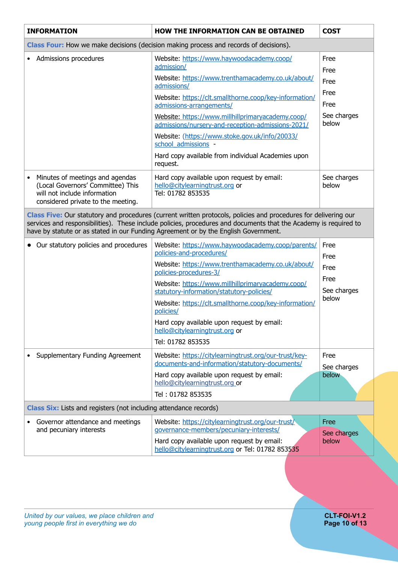| <b>INFORMATION</b>                                                                                                                                                                                                                                                                                                         | <b>HOW THE INFORMATION CAN BE OBTAINED</b>                                                                                                                                                                                                                                                                                                                                                                                                                             | <b>COST</b>                                                  |  |  |
|----------------------------------------------------------------------------------------------------------------------------------------------------------------------------------------------------------------------------------------------------------------------------------------------------------------------------|------------------------------------------------------------------------------------------------------------------------------------------------------------------------------------------------------------------------------------------------------------------------------------------------------------------------------------------------------------------------------------------------------------------------------------------------------------------------|--------------------------------------------------------------|--|--|
| Class Four: How we make decisions (decision making process and records of decisions).                                                                                                                                                                                                                                      |                                                                                                                                                                                                                                                                                                                                                                                                                                                                        |                                                              |  |  |
| Admissions procedures                                                                                                                                                                                                                                                                                                      | Website: https://www.haywoodacademy.coop/<br>admission/<br>Website: https://www.trenthamacademy.co.uk/about/<br>admissions/<br>Website: https://clt.smallthorne.coop/key-information/<br>admissions-arrangements/<br>Website: https://www.millhillprimaryacademy.coop/<br>admissions/nursery-and-reception-admissions-2021/<br>Website: (https://www.stoke.gov.uk/info/20033/<br>school admissions -<br>Hard copy available from individual Academies upon<br>request. | Free<br>Free<br>Free<br>Free<br>Free<br>See charges<br>below |  |  |
| Minutes of meetings and agendas<br>$\bullet$<br>(Local Governors' Committee) This<br>will not include information<br>considered private to the meeting.                                                                                                                                                                    | Hard copy available upon request by email:<br>hello@citylearningtrust.org or<br>Tel: 01782 853535                                                                                                                                                                                                                                                                                                                                                                      | See charges<br>below                                         |  |  |
| Class Five: Our statutory and procedures (current written protocols, policies and procedures for delivering our<br>services and responsibilities). These include policies, procedures and documents that the Academy is required to<br>have by statute or as stated in our Funding Agreement or by the English Government. |                                                                                                                                                                                                                                                                                                                                                                                                                                                                        |                                                              |  |  |
| • Our statutory policies and procedures                                                                                                                                                                                                                                                                                    | Website: https://www.haywoodacademy.coop/parents/<br>policies-and-procedures/<br>Website: https://www.trenthamacademy.co.uk/about/<br>policies-procedures-3/<br>Website: https://www.millhillprimaryacademy.coop/<br>statutory-information/statutory-policies/<br>Website: https://clt.smallthorne.coop/key-information/<br>policies/<br>Hard copy available upon request by email:<br>hello@citylearningtrust.org or<br>Tel: 01782 853535                             | Free<br>Free<br>Free<br>Free<br>See charges<br>below         |  |  |
| Supplementary Funding Agreement                                                                                                                                                                                                                                                                                            | Website: https://citylearningtrust.org/our-trust/key-<br>documents-and-information/statutory-documents/<br>Hard copy available upon request by email:<br>hello@citylearningtrust.org or<br>Tel: 01782 853535                                                                                                                                                                                                                                                           | Free<br>See charges<br>below                                 |  |  |
| Class Six: Lists and registers (not including attendance records)                                                                                                                                                                                                                                                          |                                                                                                                                                                                                                                                                                                                                                                                                                                                                        |                                                              |  |  |
| Governor attendance and meetings<br>and pecuniary interests                                                                                                                                                                                                                                                                | Website: https://citylearningtrust.org/our-trust/<br>governance-members/pecuniary-interests/<br>Hard copy available upon request by email:<br>hello@citylearningtrust.org or Tel: 01782 853535                                                                                                                                                                                                                                                                         | Free<br>See charges<br>below                                 |  |  |
|                                                                                                                                                                                                                                                                                                                            |                                                                                                                                                                                                                                                                                                                                                                                                                                                                        |                                                              |  |  |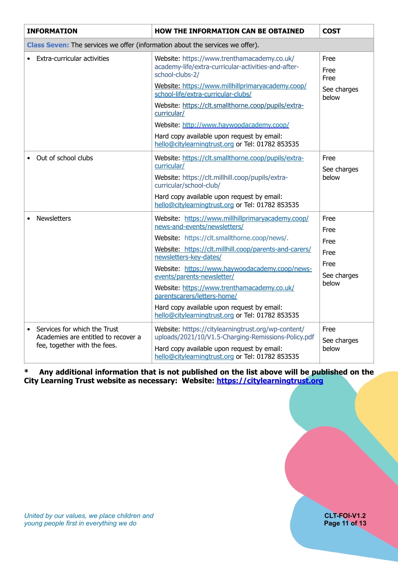| <b>INFORMATION</b>                                                            | HOW THE INFORMATION CAN BE OBTAINED                                                                                                                   | <b>COST</b>          |  |  |
|-------------------------------------------------------------------------------|-------------------------------------------------------------------------------------------------------------------------------------------------------|----------------------|--|--|
| Class Seven: The services we offer (information about the services we offer). |                                                                                                                                                       |                      |  |  |
| Extra-curricular activities                                                   | Website: https://www.trenthamacademy.co.uk/<br>academy-life/extra-curricular-activities-and-after-<br>school-clubs-2/                                 | Free<br>Free<br>Free |  |  |
|                                                                               | Website: https://www.millhillprimaryacademy.coop/<br>school-life/extra-curricular-clubs/                                                              | See charges<br>below |  |  |
|                                                                               | Website: https://clt.smallthorne.coop/pupils/extra-<br>curricular/                                                                                    |                      |  |  |
|                                                                               | Website: http://www.haywoodacademy.coop/                                                                                                              |                      |  |  |
|                                                                               | Hard copy available upon request by email:<br>hello@citylearningtrust.org or Tel: 01782 853535                                                        |                      |  |  |
| Out of school clubs                                                           | Website: https://clt.smallthorne.coop/pupils/extra-<br>curricular/                                                                                    | Free<br>See charges  |  |  |
|                                                                               | Website: https://clt.millhill.coop/pupils/extra-<br>curricular/school-club/                                                                           | below                |  |  |
|                                                                               | Hard copy available upon request by email:<br>hello@citylearningtrust.org or Tel: 01782 853535                                                        |                      |  |  |
| <b>Newsletters</b>                                                            | Website: https://www.millhillprimaryacademy.coop/<br>news-and-events/newsletters/                                                                     | Free<br>Free         |  |  |
|                                                                               | Website: https://clt.smallthorne.coop/news/.                                                                                                          | Free                 |  |  |
|                                                                               | Website: https://clt.millhill.coop/parents-and-carers/<br>newsletters-key-dates/                                                                      | Free                 |  |  |
|                                                                               | Website: https://www.haywoodacademy.coop/news-<br>events/parents-newsletter/                                                                          | Free<br>See charges  |  |  |
|                                                                               | Website: https://www.trenthamacademy.co.uk/<br>parentscarers/letters-home/                                                                            | below                |  |  |
|                                                                               | Hard copy available upon request by email:<br>hello@citylearningtrust.org or Tel: 01782 853535                                                        |                      |  |  |
| Services for which the Trust                                                  | Website: htttps://citylearningtrust.org/wp-content/                                                                                                   | Free                 |  |  |
| Academies are entitled to recover a<br>fee, together with the fees.           | uploads/2021/10/V1.5-Charging-Remissions-Policy.pdf<br>Hard copy available upon request by email:<br>hello@citylearningtrust.org or Tel: 01782 853535 | See charges<br>below |  |  |

#### **\* Any additional information that is not published on the list above will be published on the City Learning Trust website as necessary: Website: <https://citylearningtrust.org>**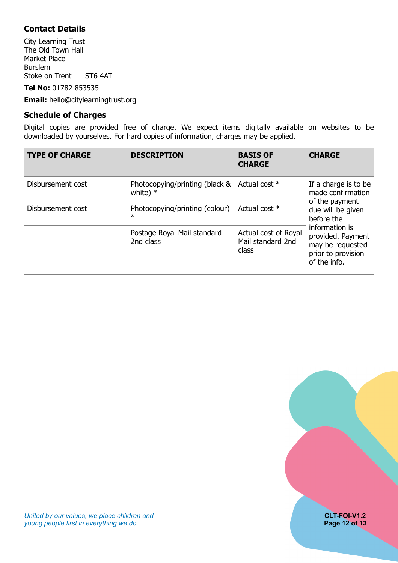### <span id="page-11-0"></span>**Contact Details**

City Learning Trust The Old Town Hall Market Place Burslem Stoke on Trent ST6 4AT

**Tel No:** 01782 853535

**Email:** hello@citylearningtrust.org

#### <span id="page-11-1"></span>**Schedule of Charges**

Digital copies are provided free of charge. We expect items digitally available on websites to be downloaded by yourselves. For hard copies of information, charges may be applied.

| <b>TYPE OF CHARGE</b> | <b>DESCRIPTION</b>                           | <b>BASIS OF</b><br><b>CHARGE</b>                   | <b>CHARGE</b>                                                                                 |  |
|-----------------------|----------------------------------------------|----------------------------------------------------|-----------------------------------------------------------------------------------------------|--|
| Disbursement cost     | Photocopying/printing (black &<br>white) $*$ | Actual cost *                                      | If a charge is to be<br>made confirmation                                                     |  |
| Disbursement cost     | Photocopying/printing (colour)<br>$\ast$     | Actual cost *                                      | of the payment<br>due will be given<br>before the                                             |  |
|                       | Postage Royal Mail standard<br>2nd class     | Actual cost of Royal<br>Mail standard 2nd<br>class | information is<br>provided. Payment<br>may be requested<br>prior to provision<br>of the info. |  |